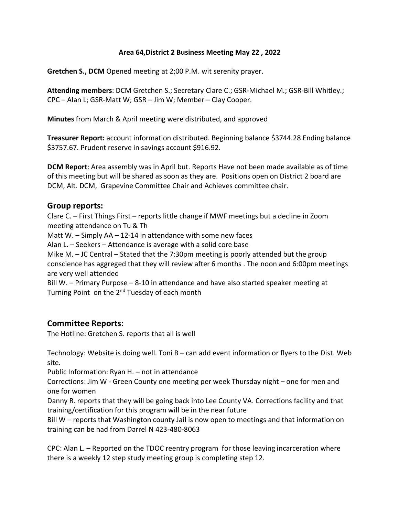#### **Area 64,District 2 Business Meeting May 22 , 2022**

**Gretchen S., DCM** Opened meeting at 2;00 P.M. wit serenity prayer.

**Attending members**: DCM Gretchen S.; Secretary Clare C.; GSR-Michael M.; GSR-Bill Whitley.; CPC – Alan L; GSR-Matt W; GSR – Jim W; Member – Clay Cooper.

**Minutes** from March & April meeting were distributed, and approved

**Treasurer Report:** account information distributed. Beginning balance \$3744.28 Ending balance \$3757.67. Prudent reserve in savings account \$916.92.

**DCM Report**: Area assembly was in April but. Reports Have not been made available as of time of this meeting but will be shared as soon as they are. Positions open on District 2 board are DCM, Alt. DCM, Grapevine Committee Chair and Achieves committee chair.

### **Group reports:**

Clare C. – First Things First – reports little change if MWF meetings but a decline in Zoom meeting attendance on Tu & Th Matt W.  $-$  Simply AA  $-$  12-14 in attendance with some new faces Alan L. – Seekers – Attendance is average with a solid core base Mike M. – JC Central – Stated that the 7:30pm meeting is poorly attended but the group conscience has aggreged that they will review after 6 months . The noon and 6:00pm meetings are very well attended Bill W. – Primary Purpose – 8-10 in attendance and have also started speaker meeting at Turning Point on the 2<sup>nd</sup> Tuesday of each month

### **Committee Reports:**

The Hotline: Gretchen S. reports that all is well

Technology: Website is doing well. Toni B – can add event information or flyers to the Dist. Web site.

Public Information: Ryan H. – not in attendance

Corrections: Jim W - Green County one meeting per week Thursday night – one for men and one for women

Danny R. reports that they will be going back into Lee County VA. Corrections facility and that training/certification for this program will be in the near future

Bill W – reports that Washington county Jail is now open to meetings and that information on training can be had from Darrel N 423-480-8063

CPC: Alan L. – Reported on the TDOC reentry program for those leaving incarceration where there is a weekly 12 step study meeting group is completing step 12.